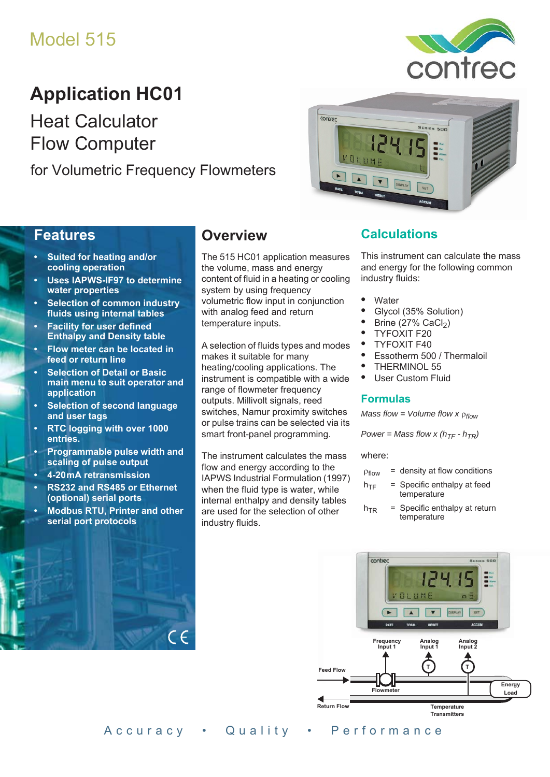# Model 515

# **Application HC01**

Heat Calculator Flow Computer

for Volumetric Frequency Flowmeters





#### **Features**

- **Suited for heating and/or cooling operation**
- **Uses IAPWS-IF97 to determine water properties**
- **Selection of common industry fluids using internal tables**
- **Facility for user defined Enthalpy and Density table**
- **Flow meter can be located in feed or return line**
- **Selection of Detail or Basic main menu to suit operator and application**
- **Selection of second language and user tags**
- **RTC logging with over 1000 entries.**
- **Programmable pulse width and scaling of pulse output**
- **4-20 mA retransmission**
- **RS232 and RS485 or Ethernet (optional) serial ports**
- **Modbus RTU, Printer and other serial port protocols**

## **Overview**

The 515 HC01 application measures the volume, mass and energy content of fluid in a heating or cooling system by using frequency volumetric flow input in conjunction with analog feed and return temperature inputs.

A selection of fluids types and modes makes it suitable for many heating/cooling applications. The instrument is compatible with a wide range of flowmeter frequency outputs. Millivolt signals, reed switches, Namur proximity switches or pulse trains can be selected via its smart front-panel programming.

The instrument calculates the mass flow and energy according to the IAPWS Industrial Formulation (1997) when the fluid type is water, while internal enthalpy and density tables are used for the selection of other industry fluids.

#### **Calculations**

This instrument can calculate the mass and energy for the following common industry fluids:

- **•** Water
- **•** Glycol (35% Solution)
- **Brine (27% CaCl<sub>2</sub>)**
- **•** TYFOXIT F20
- **•** TYFOXIT F40
- **•** Essotherm 500 / Thermaloil
- **•** THERMINOL 55
- **•** User Custom Fluid

#### **Formulas**

*Mass flow = Volume flow x*  $\rho_{flow}$ 

*Power = Mass flow x (* $h_{TF}$  *-*  $h_{TR}$ *)* 

where:

- $p_{flow}$  = density at flow conditions
- $h_{TF}$  = Specific enthalpy at feed temperature
- $h_{TR}$  = Specific enthalpy at return temperature



Accuracy • Quality • Performance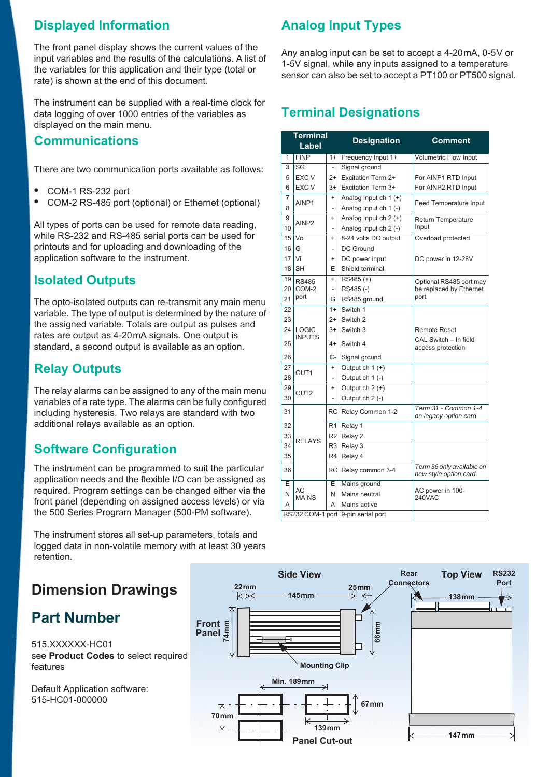## **Displayed Information**

The front panel display shows the current values of the input variables and the results of the calculations. A list of the variables for this application and their type (total or rate) is shown at the end of this document.

The instrument can be supplied with a real-time clock for data logging of over 1000 entries of the variables as displayed on the main menu.

#### **Communications**

There are two communication ports available as follows:

- **•** COM-1 RS-232 port
- **•** COM-2 RS-485 port (optional) or Ethernet (optional)

All types of ports can be used for remote data reading, while RS-232 and RS-485 serial ports can be used for printouts and for uploading and downloading of the application software to the instrument.

## **Isolated Outputs**

The opto-isolated outputs can re-transmit any main menu variable. The type of output is determined by the nature of the assigned variable. Totals are output as pulses and rates are output as 4-20 mA signals. One output is standard, a second output is available as an option.

## **Relay Outputs**

The relay alarms can be assigned to any of the main menu variables of a rate type. The alarms can be fully configured including hysteresis. Two relays are standard with two additional relays available as an option.

## **Software Configuration**

The instrument can be programmed to suit the particular application needs and the flexible I/O can be assigned as required. Program settings can be changed either via the front panel (depending on assigned access levels) or via the 500 Series Program Manager (500-PM software).

The instrument stores all set-up parameters, totals and logged data in non-volatile memory with at least 30 years retention.

## **Dimension Drawings**

## **Part Number**

515.XXXXXX-HC01 see **[Product Codes](#page-3-0)** to select required features

Default Application software: 515-HC01-000000

# **Analog Input Types**

Any analog input can be set to accept a 4-20 mA, 0-5 V or 1-5V signal, while any inputs assigned to a temperature sensor can also be set to accept a PT100 or PT500 signal.

## **Terminal Designations**

|    | <b>Terminal</b><br>Label |                | <b>Designation</b>                 | <b>Comment</b>                                     |  |  |
|----|--------------------------|----------------|------------------------------------|----------------------------------------------------|--|--|
| 1  | <b>FINP</b>              | $1+$           | Frequency Input 1+                 | <b>Volumetric Flow Input</b>                       |  |  |
| 3  | SG                       |                | Signal ground                      |                                                    |  |  |
| 5  | EXC V                    | $2+$           | Excitation Term 2+                 | For AINP1 RTD Input                                |  |  |
| 6  | EXC V                    | $3+$           | Excitation Term 3+                 | For AINP2 RTD Input                                |  |  |
| 7  | AINP1                    | $^{+}$         | Analog Input ch $1 (+)$            | Feed Temperature Input                             |  |  |
| 8  |                          | L,             | Analog Input ch 1 (-)              |                                                    |  |  |
| 9  | AINP <sub>2</sub>        | $\ddot{}$      | Analog Input ch $2 (+)$            | Return Temperature                                 |  |  |
| 10 |                          |                | Analog Input ch 2 (-)              | Input                                              |  |  |
| 15 | Vo                       | $\ddot{}$      | 8-24 volts DC output               | Overload protected                                 |  |  |
| 16 | G                        | $\overline{a}$ | DC Ground                          |                                                    |  |  |
| 17 | Vi                       | $\ddot{}$      | DC power input                     | DC power in 12-28V                                 |  |  |
| 18 | <b>SH</b>                | F              | Shield terminal                    |                                                    |  |  |
| 19 | <b>RS485</b>             | $\ddot{}$      | $RS485 (+)$                        | Optional RS485 port may                            |  |  |
| 20 | COM-2                    | $\overline{a}$ | RS485(-)                           | be replaced by Ethernet                            |  |  |
| 21 | port                     | G              | RS485 ground                       | port.                                              |  |  |
| 22 |                          | $1+$           | Switch 1                           |                                                    |  |  |
| 23 |                          | $2+$           | Switch 2                           |                                                    |  |  |
| 24 | <b>LOGIC</b>             | $3+$           | Switch 3                           | <b>Remote Reset</b>                                |  |  |
| 25 | <b>INPUTS</b>            | $4+$           | Switch 4                           | CAL Switch - In field<br>access protection         |  |  |
| 26 |                          | C-             | Signal ground                      |                                                    |  |  |
| 27 |                          | $\ddot{}$      | Output ch $1 (+)$                  |                                                    |  |  |
| 28 | OUT <sub>1</sub>         |                | Output ch 1 (-)                    |                                                    |  |  |
| 29 | OUT <sub>2</sub>         | $\ddot{}$      | Output $ch 2 (+)$                  |                                                    |  |  |
| 30 |                          |                | Output ch 2 (-)                    |                                                    |  |  |
| 31 |                          | <b>RC</b>      | Relay Common 1-2                   | Term 31 - Common 1-4<br>on legacy option card      |  |  |
| 32 |                          | R <sub>1</sub> | Relay 1                            |                                                    |  |  |
| 33 | <b>RELAYS</b>            | R <sub>2</sub> | Relay 2                            |                                                    |  |  |
| 34 |                          | R <sub>3</sub> | Relay 3                            |                                                    |  |  |
| 35 |                          | R <sub>4</sub> | Relay 4                            |                                                    |  |  |
| 36 |                          | RC             | Relay common 3-4                   | Term 36 only available on<br>new style option card |  |  |
| E  |                          | E              | Mains ground                       |                                                    |  |  |
| N  | АC<br><b>MAINS</b>       | N              | Mains neutral                      | AC power in 100-<br><b>240VAC</b>                  |  |  |
| А  |                          | A              | Mains active                       |                                                    |  |  |
|    |                          |                | RS232 COM-1 port 9-pin serial port |                                                    |  |  |

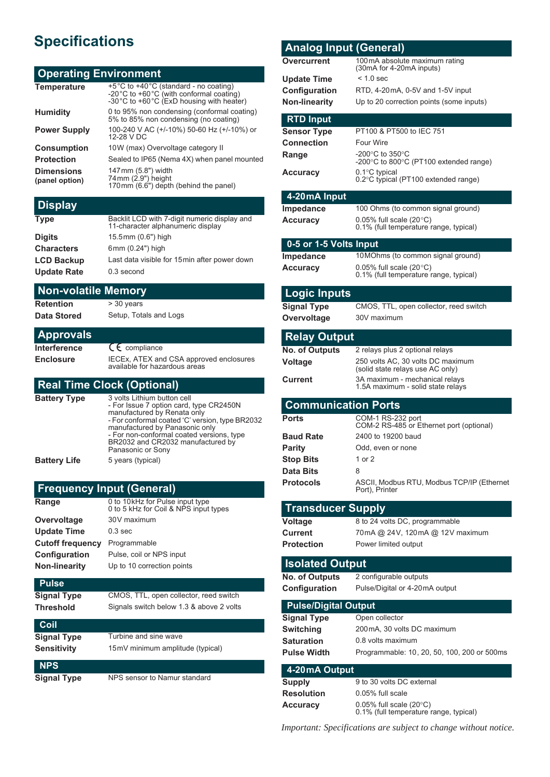# **Specifications**

#### **Operating Environment**

| <b>Temperature</b>                  | +5°C to +40°C (standard - no coating)<br>-20°C to +60°C (with conformal coating)<br>-30°C to +60°C (ExD housing with heater) |
|-------------------------------------|------------------------------------------------------------------------------------------------------------------------------|
| <b>Humidity</b>                     | 0 to 95% non condensing (conformal coating)<br>5% to 85% non condensing (no coating)                                         |
| <b>Power Supply</b>                 | 100-240 V AC (+/-10%) 50-60 Hz (+/-10%) or<br>12-28 V DC                                                                     |
| <b>Consumption</b>                  | 10W (max) Overvoltage category II                                                                                            |
| <b>Protection</b>                   | Sealed to IP65 (Nema 4X) when panel mounted                                                                                  |
| <b>Dimensions</b><br>(panel option) | 147 mm (5.8") width<br>74 mm (2.9") height<br>170mm (6.6") depth (behind the panel)                                          |

#### **Display**

| <b>Type</b>        | Backlit LCD with 7-digit numeric display and<br>11-character alphanumeric display |
|--------------------|-----------------------------------------------------------------------------------|
| <b>Digits</b>      | 15.5mm (0.6") high                                                                |
| <b>Characters</b>  | 6mm (0.24") high                                                                  |
| <b>LCD Backup</b>  | Last data visible for 15 min after power down                                     |
| <b>Update Rate</b> | 0.3 second                                                                        |
|                    |                                                                                   |

#### **Non-volatile Memory**

**Retention** > 30 years

**Data Stored** Setup, Totals and Logs

| <b>Approvals</b> |                                                                          |
|------------------|--------------------------------------------------------------------------|
| Interference     | $C_{\epsilon}$ compliance                                                |
| <b>Enclosure</b> | IECEx, ATEX and CSA approved enclosures<br>available for hazardous areas |

#### **Real Time Clock (Optional)**

| <b>Battery Type</b> | 3 volts Lithium button cell<br>- For Issue 7 option card, type CR2450N<br>manufactured by Renata only<br>- For conformal coated 'C' version, type BR2032<br>manufactured by Panasonic only<br>- For non-conformal coated versions, type<br>BR2032 and CR2032 manufactured by<br>Panasonic or Sony |
|---------------------|---------------------------------------------------------------------------------------------------------------------------------------------------------------------------------------------------------------------------------------------------------------------------------------------------|
| <b>Battery Life</b> | 5 years (typical)                                                                                                                                                                                                                                                                                 |

#### **Frequency Input (General) Range** 0 to 10 kHz for Pulse input type<br>
0 to 5 kHz for Coil & NPS input types **Overvoltage** 30V maximum **Update Time** 0.3 sec **Cutoff frequency** Programmable **Configuration** Pulse, coil or NPS input **Non-linearity** Up to 10 correction points

**Pulse Signal Type** CMOS, TTL, open collector, reed switch **Threshold** Signals switch below 1.3 & above 2 volts

| Coil               |                                  |
|--------------------|----------------------------------|
| <b>Signal Type</b> | Turbine and sine wave            |
| <b>Sensitivity</b> | 15mV minimum amplitude (typical) |
| <b>NPS</b>         |                                  |

**Signal Type** NPS sensor to Namur standard

| <b>Analog Input (General)</b>                     |                                                                            |
|---------------------------------------------------|----------------------------------------------------------------------------|
| Overcurrent                                       | 100 mA absolute maximum rating<br>(30mA for 4-20mA inputs)                 |
| <b>Update Time</b>                                | $< 1.0$ sec                                                                |
| Configuration                                     | RTD, 4-20mA, 0-5V and 1-5V input                                           |
| <b>Non-linearity</b>                              | Up to 20 correction points (some inputs)                                   |
|                                                   |                                                                            |
| <b>RTD Input</b>                                  | PT100 & PT500 to IEC 751                                                   |
| <b>Sensor Type</b><br>Connection                  | <b>Four Wire</b>                                                           |
| Range                                             | -200°C to 350°C                                                            |
|                                                   | -200°C to 800°C (PT100 extended range)                                     |
| <b>Accuracy</b>                                   | $0.1^{\circ}$ C typical<br>0.2°C typical (PT100 extended range)            |
|                                                   |                                                                            |
| 4-20 mA Input                                     |                                                                            |
| Impedance<br><b>Accuracy</b>                      | 100 Ohms (to common signal ground)<br>$0.05\%$ full scale (20 $\degree$ C) |
|                                                   | 0.1% (full temperature range, typical)                                     |
| 0-5 or 1-5 Volts Input                            |                                                                            |
| <b>Impedance</b>                                  | 10 MOhms (to common signal ground)                                         |
| <b>Accuracy</b>                                   | 0.05% full scale $(20^{\circ}C)$                                           |
|                                                   | 0.1% (full temperature range, typical)                                     |
| <b>Logic Inputs</b>                               |                                                                            |
| <b>Signal Type</b>                                | CMOS, TTL, open collector, reed switch                                     |
| Overvoltage                                       | 30V maximum                                                                |
|                                                   |                                                                            |
| <b>Relay Output</b>                               |                                                                            |
| <b>No. of Outputs</b>                             | 2 relays plus 2 optional relays<br>250 volts AC, 30 volts DC maximum       |
| <b>Voltage</b>                                    | (solid state relays use AC only)                                           |
|                                                   |                                                                            |
| Current                                           | 3A maximum - mechanical relays                                             |
|                                                   | 1.5A maximum - solid state relays                                          |
| <b>Communication Ports</b>                        |                                                                            |
| <b>Ports</b>                                      | COM-1 RS-232 port                                                          |
| <b>Baud Rate</b>                                  | COM-2 RS-485 or Ethernet port (optional)<br>2400 to 19200 baud             |
| <b>Parity</b>                                     | Odd, even or none                                                          |
| Stop Bits                                         | 1 or 2                                                                     |
| Data Bits                                         | 8                                                                          |
| <b>Protocols</b>                                  | ASCII, Modbus RTU, Modbus TCP/IP (Ethernet                                 |
|                                                   | Port), Printer                                                             |
| <b>Transducer Supply</b>                          |                                                                            |
| <b>Voltage</b>                                    | 8 to 24 volts DC, programmable                                             |
| <b>Current</b>                                    | 70mA @ 24V, 120mA @ 12V maximum                                            |
| <b>Protection</b>                                 | Power limited output                                                       |
| <b>Isolated Output</b>                            |                                                                            |
| <b>No. of Outputs</b>                             | 2 configurable outputs                                                     |
| Configuration                                     | Pulse/Digital or 4-20mA output                                             |
|                                                   |                                                                            |
| <b>Pulse/Digital Output</b><br><b>Signal Type</b> | Open collector                                                             |
| <b>Switching</b>                                  | 200 mA, 30 volts DC maximum                                                |
| Saturation                                        | 0.8 volts maximum                                                          |
| <b>Pulse Width</b>                                | Programmable: 10, 20, 50, 100, 200 or 500ms                                |
|                                                   |                                                                            |
| 4-20 mA Output<br><b>Supply</b>                   | 9 to 30 volts DC external                                                  |
| <b>Resolution</b>                                 | 0.05% full scale                                                           |

*Important: Specifications are subject to change without notice.*

0.1% (full temperature range, typical)